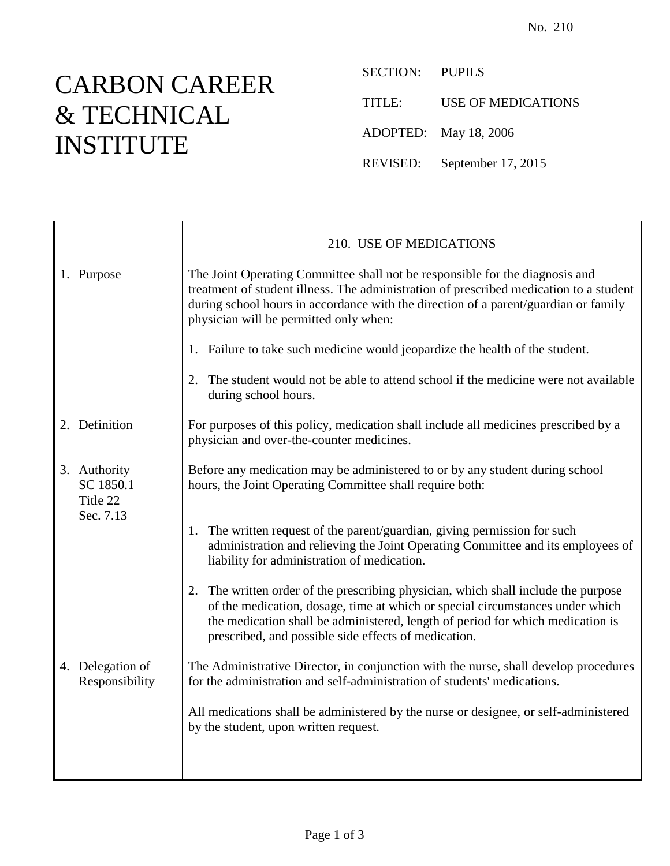## CARBON CAREER & TECHNICAL INSTITUTE

SECTION: PUPILS TITLE: USE OF MEDICATIONS ADOPTED: May 18, 2006 REVISED: September 17, 2015

|                                                    | 210. USE OF MEDICATIONS                                                                                                                                                                                                                                                                                          |
|----------------------------------------------------|------------------------------------------------------------------------------------------------------------------------------------------------------------------------------------------------------------------------------------------------------------------------------------------------------------------|
| 1. Purpose                                         | The Joint Operating Committee shall not be responsible for the diagnosis and<br>treatment of student illness. The administration of prescribed medication to a student<br>during school hours in accordance with the direction of a parent/guardian or family<br>physician will be permitted only when:          |
|                                                    | 1. Failure to take such medicine would jeopardize the health of the student.                                                                                                                                                                                                                                     |
|                                                    | The student would not be able to attend school if the medicine were not available<br>2.<br>during school hours.                                                                                                                                                                                                  |
| 2. Definition                                      | For purposes of this policy, medication shall include all medicines prescribed by a<br>physician and over-the-counter medicines.                                                                                                                                                                                 |
| 3. Authority<br>SC 1850.1<br>Title 22<br>Sec. 7.13 | Before any medication may be administered to or by any student during school<br>hours, the Joint Operating Committee shall require both:                                                                                                                                                                         |
|                                                    | The written request of the parent/guardian, giving permission for such<br>1.<br>administration and relieving the Joint Operating Committee and its employees of<br>liability for administration of medication.                                                                                                   |
|                                                    | The written order of the prescribing physician, which shall include the purpose<br>2.<br>of the medication, dosage, time at which or special circumstances under which<br>the medication shall be administered, length of period for which medication is<br>prescribed, and possible side effects of medication. |
| 4. Delegation of<br>Responsibility                 | The Administrative Director, in conjunction with the nurse, shall develop procedures<br>for the administration and self-administration of students' medications.                                                                                                                                                 |
|                                                    | All medications shall be administered by the nurse or designee, or self-administered<br>by the student, upon written request.                                                                                                                                                                                    |
|                                                    |                                                                                                                                                                                                                                                                                                                  |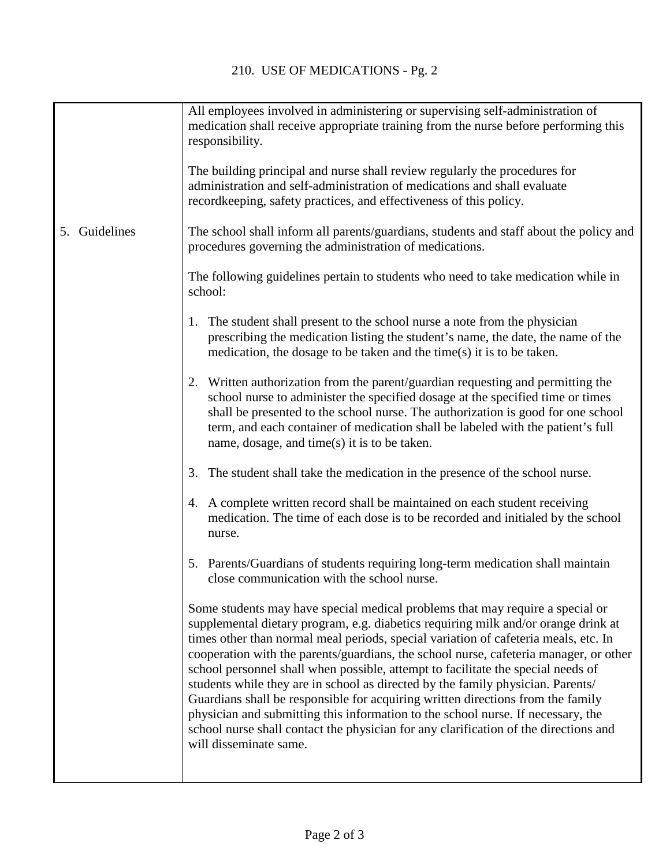|                  | All employees involved in administering or supervising self-administration of<br>medication shall receive appropriate training from the nurse before performing this<br>responsibility.<br>The building principal and nurse shall review regularly the procedures for<br>administration and self-administration of medications and shall evaluate<br>record keeping, safety practices, and effectiveness of this policy.                                                                                                                                                                                                                                                                                                                                                                                            |
|------------------|---------------------------------------------------------------------------------------------------------------------------------------------------------------------------------------------------------------------------------------------------------------------------------------------------------------------------------------------------------------------------------------------------------------------------------------------------------------------------------------------------------------------------------------------------------------------------------------------------------------------------------------------------------------------------------------------------------------------------------------------------------------------------------------------------------------------|
| Guidelines<br>5. | The school shall inform all parents/guardians, students and staff about the policy and<br>procedures governing the administration of medications.                                                                                                                                                                                                                                                                                                                                                                                                                                                                                                                                                                                                                                                                   |
|                  | The following guidelines pertain to students who need to take medication while in<br>school:                                                                                                                                                                                                                                                                                                                                                                                                                                                                                                                                                                                                                                                                                                                        |
|                  | The student shall present to the school nurse a note from the physician<br>1.<br>prescribing the medication listing the student's name, the date, the name of the<br>medication, the dosage to be taken and the time $(s)$ it is to be taken.                                                                                                                                                                                                                                                                                                                                                                                                                                                                                                                                                                       |
|                  | 2. Written authorization from the parent/guardian requesting and permitting the<br>school nurse to administer the specified dosage at the specified time or times<br>shall be presented to the school nurse. The authorization is good for one school<br>term, and each container of medication shall be labeled with the patient's full<br>name, dosage, and time $(s)$ it is to be taken.                                                                                                                                                                                                                                                                                                                                                                                                                         |
|                  | 3. The student shall take the medication in the presence of the school nurse.                                                                                                                                                                                                                                                                                                                                                                                                                                                                                                                                                                                                                                                                                                                                       |
|                  | 4. A complete written record shall be maintained on each student receiving<br>medication. The time of each dose is to be recorded and initialed by the school<br>nurse.                                                                                                                                                                                                                                                                                                                                                                                                                                                                                                                                                                                                                                             |
|                  | 5. Parents/Guardians of students requiring long-term medication shall maintain<br>close communication with the school nurse.                                                                                                                                                                                                                                                                                                                                                                                                                                                                                                                                                                                                                                                                                        |
|                  | Some students may have special medical problems that may require a special or<br>supplemental dietary program, e.g. diabetics requiring milk and/or orange drink at<br>times other than normal meal periods, special variation of cafeteria meals, etc. In<br>cooperation with the parents/guardians, the school nurse, cafeteria manager, or other<br>school personnel shall when possible, attempt to facilitate the special needs of<br>students while they are in school as directed by the family physician. Parents/<br>Guardians shall be responsible for acquiring written directions from the family<br>physician and submitting this information to the school nurse. If necessary, the<br>school nurse shall contact the physician for any clarification of the directions and<br>will disseminate same. |

L